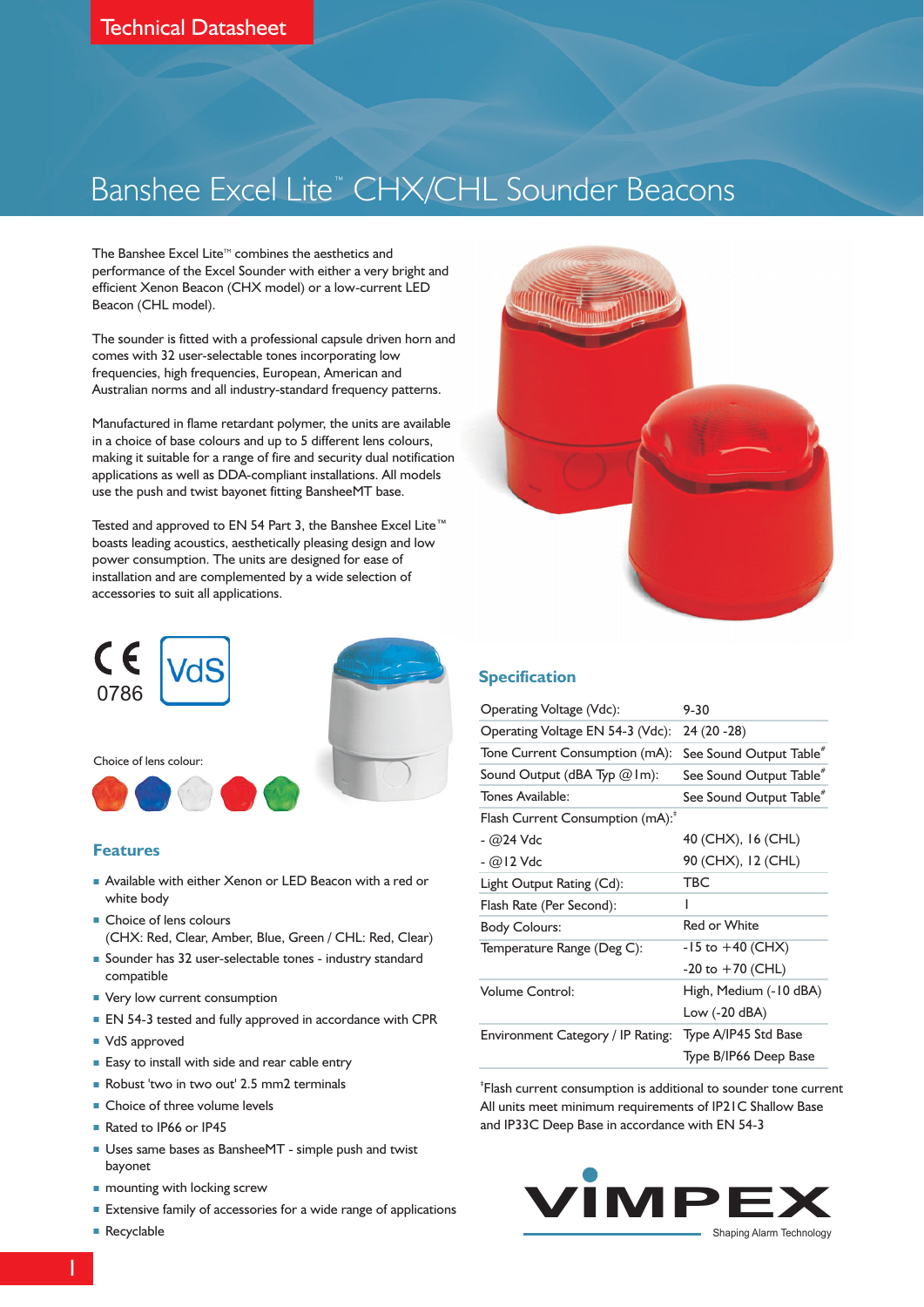# Banshee Excel Lite™ CHX/CHL Sounder Beacons

The Banshee Excel Lite $\mathbb {^{\mathsf{m}}}$  combines the aesthetics and performance of the Excel Sounder with either a very bright and efficient Xenon Beacon (CHX model) or a low-current LED Beacon (CHL model).

The sounder is fitted with a professional capsule driven horn and comes with 32 user-selectable tones incorporating low frequencies, high frequencies, European, American and Australian norms and all industry-standard frequency patterns.

Manufactured in flame retardant polymer, the units are available in a choice of base colours and up to 5 different lens colours, making it suitable for a range of fire and security dual notification applications as well as DDA-compliant installations. All models use the push and twist bayonet fitting BansheeMT base.

Tested and approved to EN 54 Part 3, the Banshee Excel Lite™ installation and are complemented by a wide selection of accessories to suit all applications. boasts leading acoustics, aesthetically pleasing design and low power consumption. The units are designed for ease of



#### **Features**

- **Available with either Xenon or LED Beacon with a red or** white body
- **Choice of lens colours** (CHX: Red, Clear, Amber, Blue, Green / CHL: Red, Clear)
- Sounder has 32 user-selectable tones industry standard compatible
- **Very low current consumption**
- **EN 54-3 tested and fully approved in accordance with CPR**
- VdS approved
- **Easy to install with side and rear cable entry**
- Robust 'two in two out' 2.5 mm2 terminals
- **Choice of three volume levels**
- Rated to IP66 or IP45
- **Uses same bases as BansheeMT** simple push and twist bayonet
- **n** mounting with locking screw
- **Extensive family of accessories for a wide range of applications**
- Recyclable



#### **Specification**

| Operating Voltage (Vdc):                     | $9 - 30$                            |  |  |  |  |
|----------------------------------------------|-------------------------------------|--|--|--|--|
| Operating Voltage EN 54-3 (Vdc):             | $24(20 - 28)$                       |  |  |  |  |
| Tone Current Consumption (mA):               | See Sound Output Table <sup>#</sup> |  |  |  |  |
| Sound Output (dBA Typ $@$ Im):               | See Sound Output Table <sup>*</sup> |  |  |  |  |
| Tones Available:                             | See Sound Output Table <sup>#</sup> |  |  |  |  |
| Flash Current Consumption (mA): <sup>*</sup> |                                     |  |  |  |  |
| - @24 Vdc                                    | 40 (CHX), 16 (CHL)                  |  |  |  |  |
| <i>- @</i> 12 Vdc                            | 90 (CHX), 12 (CHL)                  |  |  |  |  |
| Light Output Rating (Cd):                    | <b>TBC</b>                          |  |  |  |  |
| Flash Rate (Per Second):                     | ı                                   |  |  |  |  |
| <b>Body Colours:</b>                         | Red or White                        |  |  |  |  |
| Temperature Range (Deg C):                   | $-15$ to $+40$ (CHX)                |  |  |  |  |
|                                              | $-20$ to $+70$ (CHL)                |  |  |  |  |
| <b>Volume Control:</b>                       | High, Medium (-10 dBA)              |  |  |  |  |
|                                              | Low (-20 dBA)                       |  |  |  |  |
| Environment Category / IP Rating:            | Type A/IP45 Std Base                |  |  |  |  |
|                                              | Type B/IP66 Deep Base               |  |  |  |  |

‡ Flash current consumption is additional to sounder tone current All units meet minimum requirements of IP21C Shallow Base and IP33C Deep Base in accordance with EN 54-3